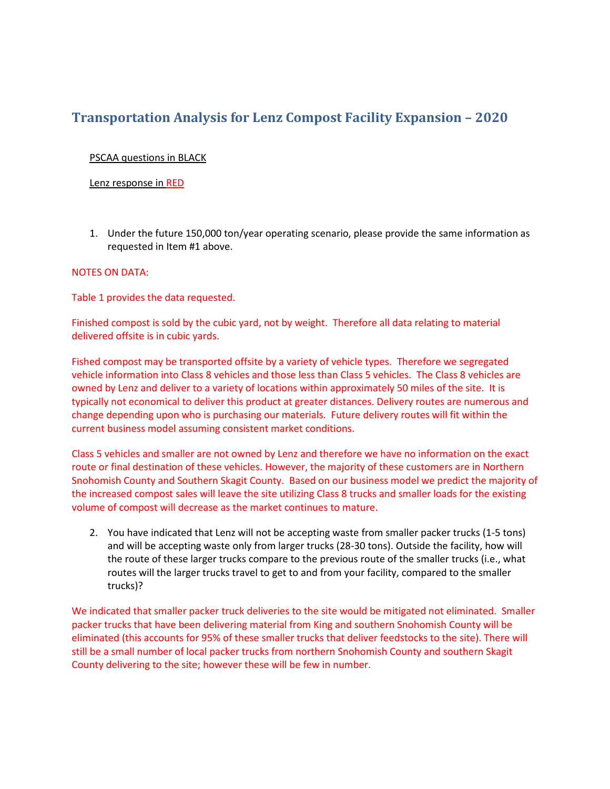## **Transportation Analysis for Lenz Compost Facility Expansion – 2020**

## PSCAA questions in BLACK

## Lenz response in RED

1. Under the future 150,000 ton/year operating scenario, please provide the same information as requested in Item #1 above.

## NOTES ON DATA:

Table 1 provides the data requested.

Finished compost is sold by the cubic yard, not by weight. Therefore all data relating to material delivered offsite is in cubic yards.

Fished compost may be transported offsite by a variety of vehicle types. Therefore we segregated vehicle information into Class 8 vehicles and those less than Class 5 vehicles. The Class 8 vehicles are owned by Lenz and deliver to a variety of locations within approximately 50 miles of the site. It is typically not economical to deliver this product at greater distances. Delivery routes are numerous and change depending upon who is purchasing our materials. Future delivery routes will fit within the current business model assuming consistent market conditions.

Class 5 vehicles and smaller are not owned by Lenz and therefore we have no information on the exact route or final destination of these vehicles. However, the majority of these customers are in Northern Snohomish County and Southern Skagit County. Based on our business model we predict the majority of the increased compost sales will leave the site utilizing Class 8 trucks and smaller loads for the existing volume of compost will decrease as the market continues to mature.

2. You have indicated that Lenz will not be accepting waste from smaller packer trucks (1-5 tons) and will be accepting waste only from larger trucks (28-30 tons). Outside the facility, how will the route of these larger trucks compare to the previous route of the smaller trucks (i.e., what routes will the larger trucks travel to get to and from your facility, compared to the smaller trucks)?

We indicated that smaller packer truck deliveries to the site would be mitigated not eliminated. Smaller packer trucks that have been delivering material from King and southern Snohomish County will be eliminated (this accounts for 95% of these smaller trucks that deliver feedstocks to the site). There will still be a small number of local packer trucks from northern Snohomish County and southern Skagit County delivering to the site; however these will be few in number.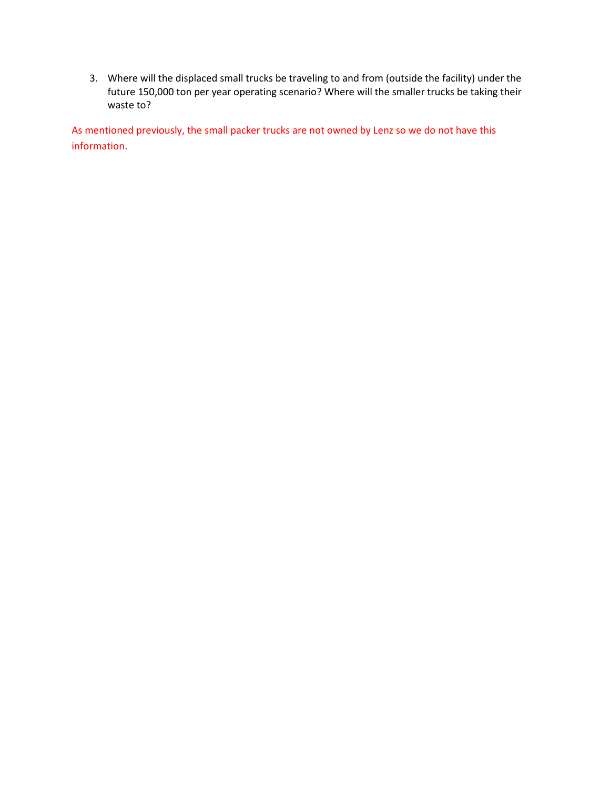3. Where will the displaced small trucks be traveling to and from (outside the facility) under the future 150,000 ton per year operating scenario? Where will the smaller trucks be taking their waste to?

As mentioned previously, the small packer trucks are not owned by Lenz so we do not have this information.